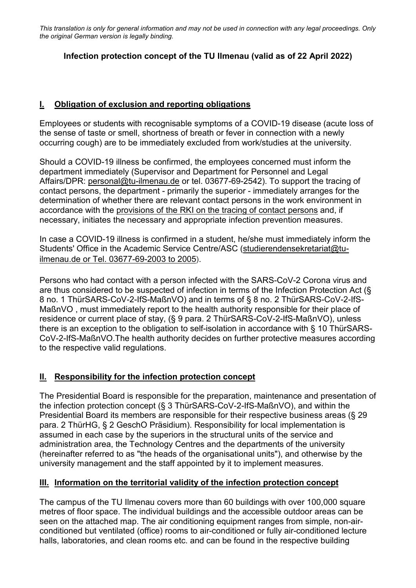## **Infection protection concept of the TU Ilmenau (valid as of 22 April 2022)**

## **I. Obligation of exclusion and reporting obligations**

Employees or students with recognisable symptoms of a COVID-19 disease (acute loss of the sense of taste or smell, shortness of breath or fever in connection with a newly occurring cough) are to be immediately excluded from work/studies at the university.

Should a COVID-19 illness be confirmed, the employees concerned must inform the department immediately (Supervisor and Department for Personnel and Legal Affairs/DPR: personal@tu-ilmenau.de or tel. 03677-69-2542). To support the tracing of contact persons, the department - primarily the superior - immediately arranges for the determination of whether there are relevant contact persons in the work environment in accordance with the provisions of the RKI on the tracing of contact persons and, if necessary, initiates the necessary and appropriate infection prevention measures.

In case a COVID-19 illness is confirmed in a student, he/she must immediately inform the Students' Office in the Academic Service Centre/ASC (studierendensekretariat@tuilmenau.de or Tel. 03677-69-2003 to 2005).

Persons who had contact with a person infected with the SARS-CoV-2 Corona virus and are thus considered to be suspected of infection in terms of the Infection Protection Act (§ 8 no. 1 ThürSARS-CoV-2-IfS-MaßnVO) and in terms of § 8 no. 2 ThürSARS-CoV-2-IfS-MaßnVO , must immediately report to the health authority responsible for their place of residence or current place of stay, (§ 9 para. 2 ThürSARS-CoV-2-IfS-MaßnVO), unless there is an exception to the obligation to self-isolation in accordance with § 10 ThürSARS-CoV-2-IfS-MaßnVO.The health authority decides on further protective measures according to the respective valid regulations.

# **II. Responsibility for the infection protection concept**

The Presidential Board is responsible for the preparation, maintenance and presentation of the infection protection concept (§ 3 ThürSARS-CoV-2-IfS-MaßnVO), and within the Presidential Board its members are responsible for their respective business areas (§ 29 para. 2 ThürHG, § 2 GeschO Präsidium). Responsibility for local implementation is assumed in each case by the superiors in the structural units of the service and administration area, the Technology Centres and the departments of the university (hereinafter referred to as "the heads of the organisational units"), and otherwise by the university management and the staff appointed by it to implement measures.

### **III. Information on the territorial validity of the infection protection concept**

The campus of the TU Ilmenau covers more than 60 buildings with over 100,000 square metres of floor space. The individual buildings and the accessible outdoor areas can be seen on the attached map. The air conditioning equipment ranges from simple, non-airconditioned but ventilated (office) rooms to air-conditioned or fully air-conditioned lecture halls, laboratories, and clean rooms etc. and can be found in the respective building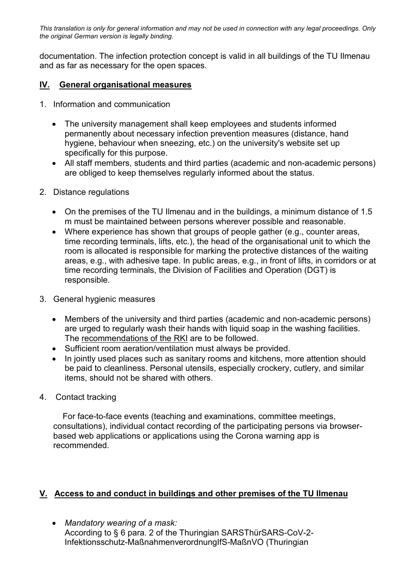documentation. The infection protection concept is valid in all buildings of the TU Ilmenau and as far as necessary for the open spaces.

## **IV. General organisational measures**

- 1. Information and communication
	- The university management shall keep employees and students informed permanently about necessary infection prevention measures (distance, hand hygiene, behaviour when sneezing, etc.) on the university's website set up specifically for this purpose.
	- All staff members, students and third parties (academic and non-academic persons) are obliged to keep themselves regularly informed about the status.
- 2. Distance regulations
	- On the premises of the TU Ilmenau and in the buildings, a minimum distance of 1.5 m must be maintained between persons wherever possible and reasonable.
	- Where experience has shown that groups of people gather (e.g., counter areas, time recording terminals, lifts, etc.), the head of the organisational unit to which the room is allocated is responsible for marking the protective distances of the waiting areas, e.g., with adhesive tape. In public areas, e.g., in front of lifts, in corridors or at time recording terminals, the Division of Facilities and Operation (DGT) is responsible.
- 3. General hygienic measures
	- Members of the university and third parties (academic and non-academic persons) are urged to regularly wash their hands with liquid soap in the washing facilities. The recommendations of the RKI are to be followed.
	- Sufficient room aeration/ventilation must always be provided.
	- In jointly used places such as sanitary rooms and kitchens, more attention should be paid to cleanliness. Personal utensils, especially crockery, cutlery, and similar items, should not be shared with others.
- 4. Contact tracking

 For face-to-face events (teaching and examinations, committee meetings, consultations), individual contact recording of the participating persons via browserbased web applications or applications using the Corona warning app is recommended.

### **V. Access to and conduct in buildings and other premises of the TU Ilmenau**

• *Mandatory wearing of a mask:* According to § 6 para. 2 of the Thuringian SARSThürSARS-CoV-2- Infektionsschutz-MaßnahmenverordnungIfS-MaßnVO (Thuringian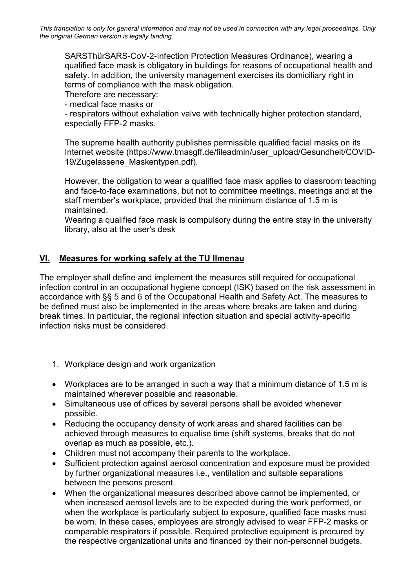SARSThürSARS-CoV-2-Infection Protection Measures Ordinance), wearing a qualified face mask is obligatory in buildings for reasons of occupational health and safety. In addition, the university management exercises its domiciliary right in terms of compliance with the mask obligation.

Therefore are necessary:

- medical face masks or

- respirators without exhalation valve with technically higher protection standard, especially FFP-2 masks.

The supreme health authority publishes permissible qualified facial masks on its Internet website (https://www.tmasgff.de/fileadmin/user\_upload/Gesundheit/COVID-19/Zugelassene\_Maskentypen.pdf).

However, the obligation to wear a qualified face mask applies to classroom teaching and face-to-face examinations, but not to committee meetings, meetings and at the staff member's workplace, provided that the minimum distance of 1.5 m is maintained.

Wearing a qualified face mask is compulsory during the entire stay in the university library, also at the user's desk

#### **VI. Measures for working safely at the TU Ilmenau**

The employer shall define and implement the measures still required for occupational infection control in an occupational hygiene concept (ISK) based on the risk assessment in accordance with §§ 5 and 6 of the Occupational Health and Safety Act. The measures to be defined must also be implemented in the areas where breaks are taken and during break times. In particular, the regional infection situation and special activity-specific infection risks must be considered.

- 1. Workplace design and work organization
- Workplaces are to be arranged in such a way that a minimum distance of 1.5 m is maintained wherever possible and reasonable.
- Simultaneous use of offices by several persons shall be avoided whenever possible.
- Reducing the occupancy density of work areas and shared facilities can be achieved through measures to equalise time (shift systems, breaks that do not overlap as much as possible, etc.).
- Children must not accompany their parents to the workplace.
- Sufficient protection against aerosol concentration and exposure must be provided by further organizational measures i.e., ventilation and suitable separations between the persons present.
- When the organizational measures described above cannot be implemented, or when increased aerosol levels are to be expected during the work performed, or when the workplace is particularly subject to exposure, qualified face masks must be worn. In these cases, employees are strongly advised to wear FFP-2 masks or comparable respirators if possible. Required protective equipment is procured by the respective organizational units and financed by their non-personnel budgets.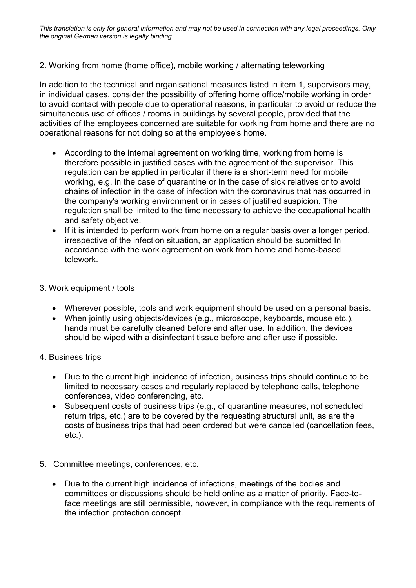### 2. Working from home (home office), mobile working / alternating teleworking

In addition to the technical and organisational measures listed in item 1, supervisors may, in individual cases, consider the possibility of offering home office/mobile working in order to avoid contact with people due to operational reasons, in particular to avoid or reduce the simultaneous use of offices / rooms in buildings by several people, provided that the activities of the employees concerned are suitable for working from home and there are no operational reasons for not doing so at the employee's home.

- According to the internal agreement on working time, working from home is therefore possible in justified cases with the agreement of the supervisor. This regulation can be applied in particular if there is a short-term need for mobile working, e.g. in the case of quarantine or in the case of sick relatives or to avoid chains of infection in the case of infection with the coronavirus that has occurred in the company's working environment or in cases of justified suspicion. The regulation shall be limited to the time necessary to achieve the occupational health and safety objective.
- If it is intended to perform work from home on a regular basis over a longer period, irrespective of the infection situation, an application should be submitted In accordance with the work agreement on work from home and home-based telework.
- 3. Work equipment / tools
	- Wherever possible, tools and work equipment should be used on a personal basis.
	- When jointly using objects/devices (e.g., microscope, keyboards, mouse etc.), hands must be carefully cleaned before and after use. In addition, the devices should be wiped with a disinfectant tissue before and after use if possible.
- 4. Business trips
	- Due to the current high incidence of infection, business trips should continue to be limited to necessary cases and regularly replaced by telephone calls, telephone conferences, video conferencing, etc.
	- Subsequent costs of business trips (e.g., of quarantine measures, not scheduled return trips, etc.) are to be covered by the requesting structural unit, as are the costs of business trips that had been ordered but were cancelled (cancellation fees, etc.).
- 5. Committee meetings, conferences, etc.
	- Due to the current high incidence of infections, meetings of the bodies and committees or discussions should be held online as a matter of priority. Face-toface meetings are still permissible, however, in compliance with the requirements of the infection protection concept.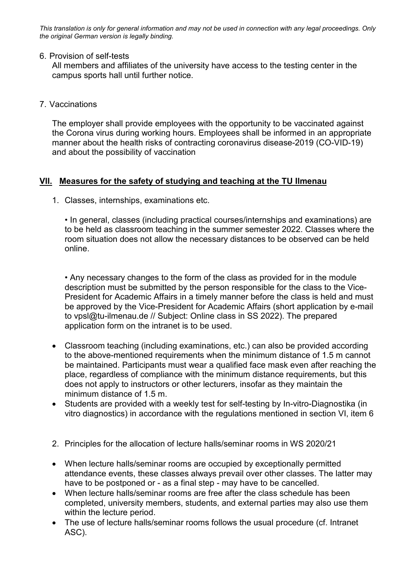#### 6. Provision of self-tests

All members and affiliates of the university have access to the testing center in the campus sports hall until further notice.

7. Vaccinations

The employer shall provide employees with the opportunity to be vaccinated against the Corona virus during working hours. Employees shall be informed in an appropriate manner about the health risks of contracting coronavirus disease-2019 (CO-VID-19) and about the possibility of vaccination

### **VII. Measures for the safety of studying and teaching at the TU Ilmenau**

1. Classes, internships, examinations etc.

• In general, classes (including practical courses/internships and examinations) are to be held as classroom teaching in the summer semester 2022. Classes where the room situation does not allow the necessary distances to be observed can be held online.

• Any necessary changes to the form of the class as provided for in the module description must be submitted by the person responsible for the class to the Vice-President for Academic Affairs in a timely manner before the class is held and must be approved by the Vice-President for Academic Affairs (short application by e-mail to vpsl@tu-ilmenau.de // Subject: Online class in SS 2022). The prepared application form on the intranet is to be used.

- Classroom teaching (including examinations, etc.) can also be provided according to the above-mentioned requirements when the minimum distance of 1.5 m cannot be maintained. Participants must wear a qualified face mask even after reaching the place, regardless of compliance with the minimum distance requirements, but this does not apply to instructors or other lecturers, insofar as they maintain the minimum distance of 1.5 m.
- Students are provided with a weekly test for self-testing by In-vitro-Diagnostika (in vitro diagnostics) in accordance with the regulations mentioned in section VI, item 6
- 2. Principles for the allocation of lecture halls/seminar rooms in WS 2020/21
- When lecture halls/seminar rooms are occupied by exceptionally permitted attendance events, these classes always prevail over other classes. The latter may have to be postponed or - as a final step - may have to be cancelled.
- When lecture halls/seminar rooms are free after the class schedule has been completed, university members, students, and external parties may also use them within the lecture period.
- The use of lecture halls/seminar rooms follows the usual procedure (cf. Intranet ASC).